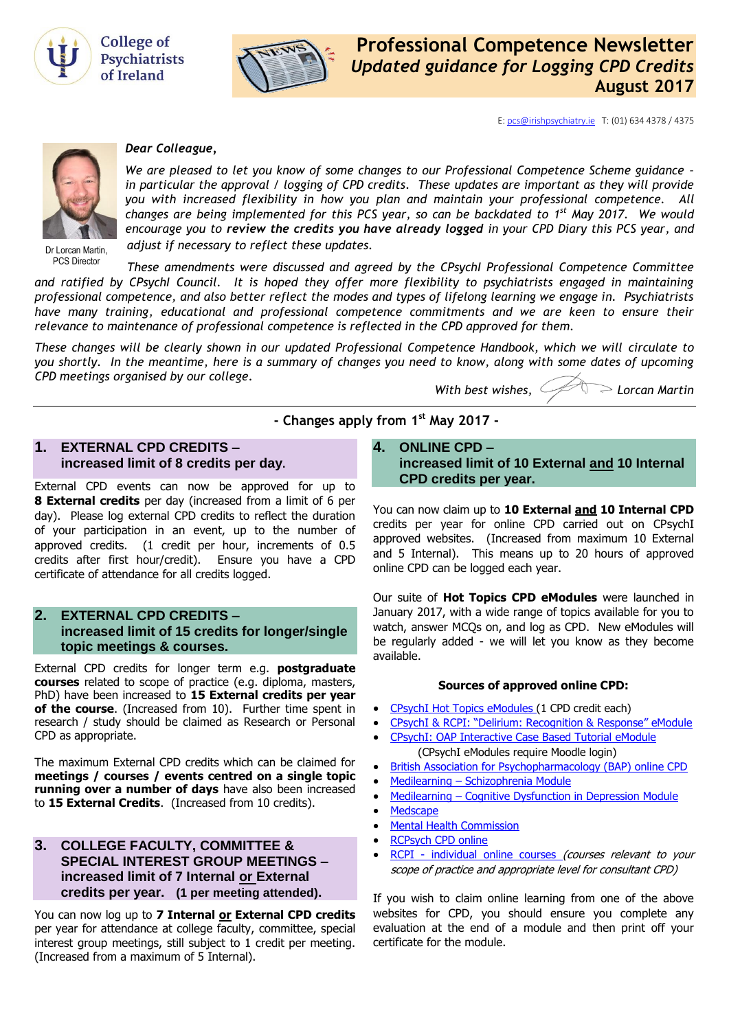



E[: pcs@irishpsychiatry.ie](mailto:pcs@irishpsychiatry.ie) T: (01) 634 4378 / 4375



#### *Dear Colleague,*

*We are pleased to let you know of some changes to our Professional Competence Scheme guidance – in particular the approval / logging of CPD credits. These updates are important as they will provide you with increased flexibility in how you plan and maintain your professional competence. All changes are being implemented for this PCS year, so can be backdated to 1 st May 2017. We would encourage you to review the credits you have already logged in your CPD Diary this PCS year, and adjust if necessary to reflect these updates.*

Dr Lorcan Martin, PCS Director

*These amendments were discussed and agreed by the CPsychI Professional Competence Committee and ratified by CPsychI Council. It is hoped they offer more flexibility to psychiatrists engaged in maintaining professional competence, and also better reflect the modes and types of lifelong learning we engage in. Psychiatrists have many training, educational and professional competence commitments and we are keen to ensure their relevance to maintenance of professional competence is reflected in the CPD approved for them.*

*These changes will be clearly shown in our updated Professional Competence Handbook, which we will circulate to you shortly. In the meantime, here is a summary of changes you need to know, along with some dates of upcoming CPD meetings organised by our college.*

**- Changes apply from 1st May 2017 -**

*With best wishes, Lorcan Martin*

#### **1. EXTERNAL CPD CREDITS – increased limit of 8 credits per day.**

External CPD events can now be approved for up to **8 External credits** per day (increased from a limit of 6 per day). Please log external CPD credits to reflect the duration of your participation in an event, up to the number of approved credits. (1 credit per hour, increments of 0.5 credits after first hour/credit). Ensure you have a CPD certificate of attendance for all credits logged.

## **2. EXTERNAL CPD CREDITS – increased limit of 15 credits for longer/single topic meetings & courses.**

External CPD credits for longer term e.g. **postgraduate courses** related to scope of practice (e.g. diploma, masters, PhD) have been increased to **15 External credits per year of the course**. (Increased from 10). Further time spent in research / study should be claimed as Research or Personal CPD as appropriate.

The maximum External CPD credits which can be claimed for **meetings / courses / events centred on a single topic running over a number of days** have also been increased to **15 External Credits**. (Increased from 10 credits).

## **3. [COLLEGE FACULTY,](http://collegeofpsychiatryireland.newsweaver.co.uk/newsletter/1bcdch2t8xl13d8mgyqtf4?a=1&p=33459695&t=18724804) COMMITTEE & [SPECIAL INTEREST GROUP](http://collegeofpsychiatryireland.newsweaver.co.uk/newsletter/1bcdch2t8xl13d8mgyqtf4?a=1&p=33459695&t=18724804) MEETINGS – [increased limit of 7 Internal or External](http://collegeofpsychiatryireland.newsweaver.co.uk/newsletter/1bcdch2t8xl13d8mgyqtf4?a=1&p=33459695&t=18724804)  credits per year. [\(1 per meeting attended\)](http://collegeofpsychiatryireland.newsweaver.co.uk/newsletter/1bcdch2t8xl13d8mgyqtf4?a=1&p=33459695&t=18724804).**

You can now log up to **7 Internal or External CPD credits** per year for attendance at college faculty, committee, special interest group meetings, still subject to 1 credit per meeting. (Increased from a maximum of 5 Internal).

**4. [ONLINE CPD –](http://collegeofpsychiatryireland.newsweaver.co.uk/newsletter/1bcdch2t8xl13d8mgyqtf4?a=1&p=33459695&t=18724804) [increased limit of 10 External](http://collegeofpsychiatryireland.newsweaver.co.uk/newsletter/1bcdch2t8xl13d8mgyqtf4?a=1&p=33459695&t=18724804) and 10 Internal [CPD credits per year.](http://collegeofpsychiatryireland.newsweaver.co.uk/newsletter/1bcdch2t8xl13d8mgyqtf4?a=1&p=33459695&t=18724804)**

You can now claim up to **10 External and 10 Internal CPD** credits per year for online CPD carried out on CPsychI approved websites. (Increased from maximum 10 External and 5 Internal). This means up to 20 hours of approved online CPD can be logged each year.

Our suite of **Hot Topics CPD eModules** were launched in January 2017, with a wide range of topics available for you to watch, answer MCQs on, and log as CPD. New eModules will be regularly added - we will let you know as they become available.

#### **Sources of approved online CPD:**

- [CPsychI Hot Topics eModules \(1 CPD credit each\)](http://www.irishpsychiatry.ie/professional-competence/hot-topics-emodules-online-cpd/cpsychi-hot-topics-emodules/)
- C[PsychI & RCPI: "Delirium: Recognition & Response" eModule](http://elearning.irishpsychiatry.ie/course/category.php?id=78)
- CPsychI: [OAP Interactive Case Based Tutorial](http://elearning.irishpsychiatry.ie/course/category.php?id=78) eModule (CPsychI eModules require Moodle login)
- [British Association for Psychopharmacology \(BAP\) online CPD](http://www.bap.org.uk/onlinecpd.php)
- Medilearning [Schizophrenia Module](http://medilearning.ie/doctorcpd/schizophrenia,--laias-compared-to-oral-antipsychotics)
- Medilearning [Cognitive Dysfunction in Depression Module](http://www.medilearning.ie/doctorcpd/cognitive-dysfunction-in-depression)
- **[Medscape](http://www.medscape.org/)**
- [Mental Health Commission](http://mhc.thelearningcentre.ie/)
- [RCPsych CPD online](http://www.psychiatrycpd.co.uk/)
- RCPI [individual online courses](https://www.rcpi.ie/courses-and-events/) (courses relevant to your scope of practice and appropriate level for consultant CPD)

If you wish to claim online learning from one of the above websites for CPD, you should ensure you complete any evaluation at the end of a module and then print off your certificate for the module.